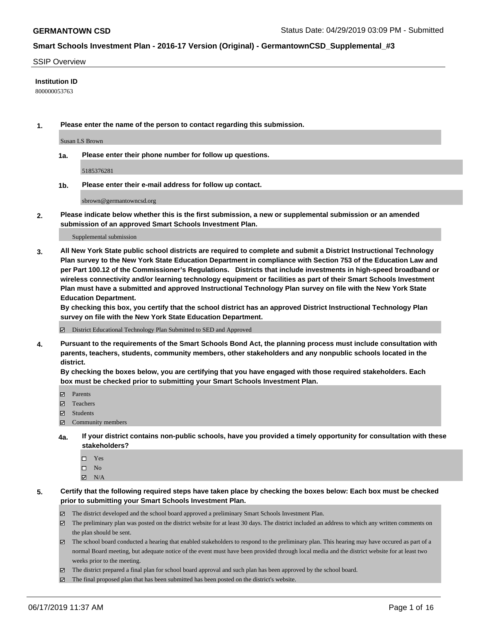#### SSIP Overview

### **Institution ID**

800000053763

**1. Please enter the name of the person to contact regarding this submission.**

Susan LS Brown

**1a. Please enter their phone number for follow up questions.**

5185376281

**1b. Please enter their e-mail address for follow up contact.**

sbrown@germantowncsd.org

**2. Please indicate below whether this is the first submission, a new or supplemental submission or an amended submission of an approved Smart Schools Investment Plan.**

#### Supplemental submission

**3. All New York State public school districts are required to complete and submit a District Instructional Technology Plan survey to the New York State Education Department in compliance with Section 753 of the Education Law and per Part 100.12 of the Commissioner's Regulations. Districts that include investments in high-speed broadband or wireless connectivity and/or learning technology equipment or facilities as part of their Smart Schools Investment Plan must have a submitted and approved Instructional Technology Plan survey on file with the New York State Education Department.** 

**By checking this box, you certify that the school district has an approved District Instructional Technology Plan survey on file with the New York State Education Department.**

District Educational Technology Plan Submitted to SED and Approved

**4. Pursuant to the requirements of the Smart Schools Bond Act, the planning process must include consultation with parents, teachers, students, community members, other stakeholders and any nonpublic schools located in the district.** 

**By checking the boxes below, you are certifying that you have engaged with those required stakeholders. Each box must be checked prior to submitting your Smart Schools Investment Plan.**

- Parents
- Teachers
- Students
- Community members
- **4a. If your district contains non-public schools, have you provided a timely opportunity for consultation with these stakeholders?**
	- □ Yes
	- $\square$  No
	- $N/A$
- **5. Certify that the following required steps have taken place by checking the boxes below: Each box must be checked prior to submitting your Smart Schools Investment Plan.**
	- The district developed and the school board approved a preliminary Smart Schools Investment Plan.
	- $\boxtimes$  The preliminary plan was posted on the district website for at least 30 days. The district included an address to which any written comments on the plan should be sent.
	- $\boxtimes$  The school board conducted a hearing that enabled stakeholders to respond to the preliminary plan. This hearing may have occured as part of a normal Board meeting, but adequate notice of the event must have been provided through local media and the district website for at least two weeks prior to the meeting.
	- The district prepared a final plan for school board approval and such plan has been approved by the school board.
	- $\boxtimes$  The final proposed plan that has been submitted has been posted on the district's website.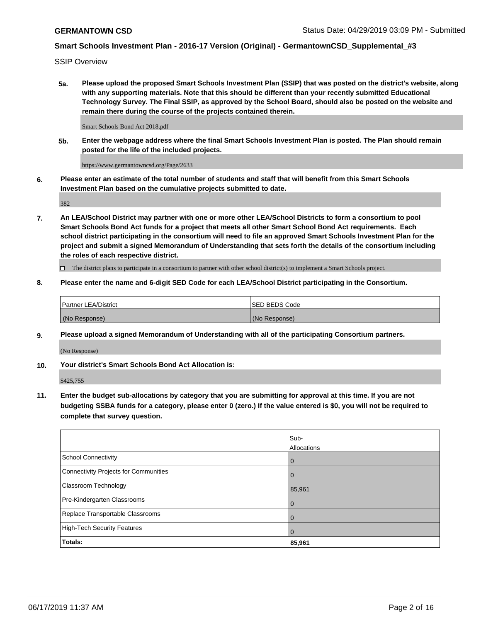SSIP Overview

**5a. Please upload the proposed Smart Schools Investment Plan (SSIP) that was posted on the district's website, along with any supporting materials. Note that this should be different than your recently submitted Educational Technology Survey. The Final SSIP, as approved by the School Board, should also be posted on the website and remain there during the course of the projects contained therein.**

Smart Schools Bond Act 2018.pdf

**5b. Enter the webpage address where the final Smart Schools Investment Plan is posted. The Plan should remain posted for the life of the included projects.**

https://www.germantowncsd.org/Page/2633

**6. Please enter an estimate of the total number of students and staff that will benefit from this Smart Schools Investment Plan based on the cumulative projects submitted to date.**

382

**7. An LEA/School District may partner with one or more other LEA/School Districts to form a consortium to pool Smart Schools Bond Act funds for a project that meets all other Smart School Bond Act requirements. Each school district participating in the consortium will need to file an approved Smart Schools Investment Plan for the project and submit a signed Memorandum of Understanding that sets forth the details of the consortium including the roles of each respective district.**

 $\Box$  The district plans to participate in a consortium to partner with other school district(s) to implement a Smart Schools project.

### **8. Please enter the name and 6-digit SED Code for each LEA/School District participating in the Consortium.**

| <b>Partner LEA/District</b> | <b>ISED BEDS Code</b> |
|-----------------------------|-----------------------|
| (No Response)               | (No Response)         |

#### **9. Please upload a signed Memorandum of Understanding with all of the participating Consortium partners.**

(No Response)

**10. Your district's Smart Schools Bond Act Allocation is:**

\$425,755

**11. Enter the budget sub-allocations by category that you are submitting for approval at this time. If you are not budgeting SSBA funds for a category, please enter 0 (zero.) If the value entered is \$0, you will not be required to complete that survey question.**

|                                       | Sub-<br><b>Allocations</b> |
|---------------------------------------|----------------------------|
| <b>School Connectivity</b>            | $\mathbf 0$                |
| Connectivity Projects for Communities | $\overline{0}$             |
| Classroom Technology                  | 85,961                     |
| Pre-Kindergarten Classrooms           | $\mathbf 0$                |
| Replace Transportable Classrooms      | $\Omega$                   |
| High-Tech Security Features           | $\Omega$                   |
| Totals:                               | 85,961                     |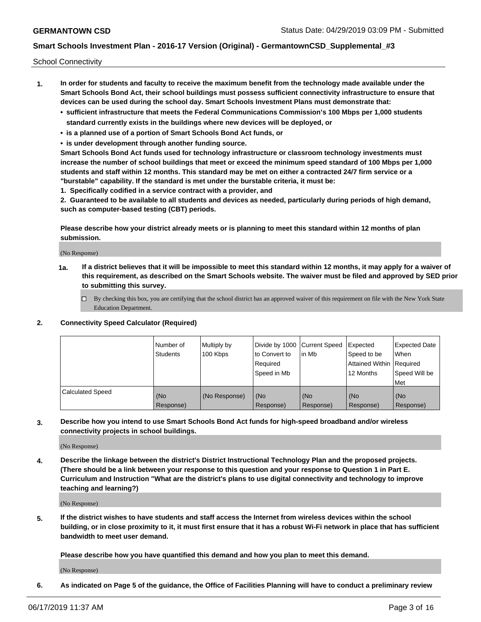School Connectivity

- **1. In order for students and faculty to receive the maximum benefit from the technology made available under the Smart Schools Bond Act, their school buildings must possess sufficient connectivity infrastructure to ensure that devices can be used during the school day. Smart Schools Investment Plans must demonstrate that:**
	- **• sufficient infrastructure that meets the Federal Communications Commission's 100 Mbps per 1,000 students standard currently exists in the buildings where new devices will be deployed, or**
	- **• is a planned use of a portion of Smart Schools Bond Act funds, or**
	- **• is under development through another funding source.**

**Smart Schools Bond Act funds used for technology infrastructure or classroom technology investments must increase the number of school buildings that meet or exceed the minimum speed standard of 100 Mbps per 1,000 students and staff within 12 months. This standard may be met on either a contracted 24/7 firm service or a "burstable" capability. If the standard is met under the burstable criteria, it must be:**

**1. Specifically codified in a service contract with a provider, and**

**2. Guaranteed to be available to all students and devices as needed, particularly during periods of high demand, such as computer-based testing (CBT) periods.**

**Please describe how your district already meets or is planning to meet this standard within 12 months of plan submission.**

(No Response)

**1a. If a district believes that it will be impossible to meet this standard within 12 months, it may apply for a waiver of this requirement, as described on the Smart Schools website. The waiver must be filed and approved by SED prior to submitting this survey.**

 $\Box$  By checking this box, you are certifying that the school district has an approved waiver of this requirement on file with the New York State Education Department.

#### **2. Connectivity Speed Calculator (Required)**

|                         | l Number of<br>Students | Multiply by<br>100 Kbps | Divide by 1000 Current Speed<br>to Convert to<br>Required<br>l Speed in Mb | lin Mb           | Expected<br>Speed to be<br>Attained Within   Required<br>12 Months | <b>Expected Date</b><br>When<br>Speed Will be<br>Met |
|-------------------------|-------------------------|-------------------------|----------------------------------------------------------------------------|------------------|--------------------------------------------------------------------|------------------------------------------------------|
| <b>Calculated Speed</b> | (No<br>Response)        | (No Response)           | (No<br>Response)                                                           | (No<br>Response) | (No<br>Response)                                                   | (No<br>Response)                                     |

**3. Describe how you intend to use Smart Schools Bond Act funds for high-speed broadband and/or wireless connectivity projects in school buildings.**

(No Response)

**4. Describe the linkage between the district's District Instructional Technology Plan and the proposed projects. (There should be a link between your response to this question and your response to Question 1 in Part E. Curriculum and Instruction "What are the district's plans to use digital connectivity and technology to improve teaching and learning?)**

(No Response)

**5. If the district wishes to have students and staff access the Internet from wireless devices within the school building, or in close proximity to it, it must first ensure that it has a robust Wi-Fi network in place that has sufficient bandwidth to meet user demand.**

**Please describe how you have quantified this demand and how you plan to meet this demand.**

(No Response)

**6. As indicated on Page 5 of the guidance, the Office of Facilities Planning will have to conduct a preliminary review**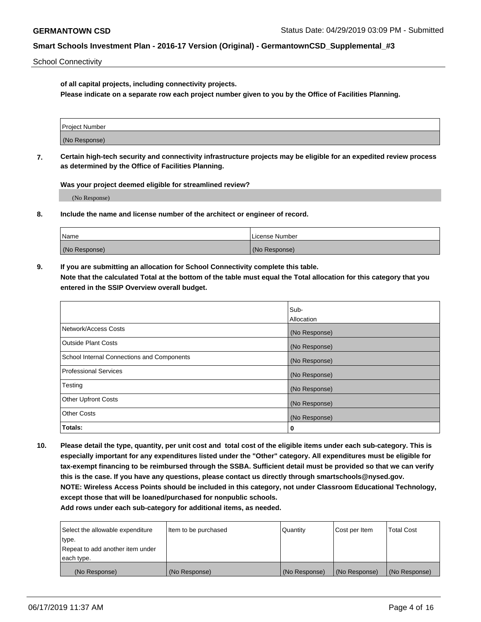School Connectivity

**of all capital projects, including connectivity projects.**

**Please indicate on a separate row each project number given to you by the Office of Facilities Planning.**

| Project Number |  |
|----------------|--|
|                |  |
| (No Response)  |  |
|                |  |

**7. Certain high-tech security and connectivity infrastructure projects may be eligible for an expedited review process as determined by the Office of Facilities Planning.**

**Was your project deemed eligible for streamlined review?**

(No Response)

**8. Include the name and license number of the architect or engineer of record.**

| Name          | License Number |
|---------------|----------------|
| (No Response) | (No Response)  |

**9. If you are submitting an allocation for School Connectivity complete this table. Note that the calculated Total at the bottom of the table must equal the Total allocation for this category that you entered in the SSIP Overview overall budget.** 

|                                            | Sub-              |
|--------------------------------------------|-------------------|
|                                            | <b>Allocation</b> |
| Network/Access Costs                       | (No Response)     |
| <b>Outside Plant Costs</b>                 | (No Response)     |
| School Internal Connections and Components | (No Response)     |
| <b>Professional Services</b>               | (No Response)     |
| Testing                                    | (No Response)     |
| <b>Other Upfront Costs</b>                 | (No Response)     |
| <b>Other Costs</b>                         | (No Response)     |
| Totals:                                    | 0                 |

**10. Please detail the type, quantity, per unit cost and total cost of the eligible items under each sub-category. This is especially important for any expenditures listed under the "Other" category. All expenditures must be eligible for tax-exempt financing to be reimbursed through the SSBA. Sufficient detail must be provided so that we can verify this is the case. If you have any questions, please contact us directly through smartschools@nysed.gov. NOTE: Wireless Access Points should be included in this category, not under Classroom Educational Technology, except those that will be loaned/purchased for nonpublic schools.**

| Select the allowable expenditure | Item to be purchased | Quantity      | Cost per Item | <b>Total Cost</b> |
|----------------------------------|----------------------|---------------|---------------|-------------------|
| type.                            |                      |               |               |                   |
| Repeat to add another item under |                      |               |               |                   |
| each type.                       |                      |               |               |                   |
| (No Response)                    | (No Response)        | (No Response) | (No Response) | (No Response)     |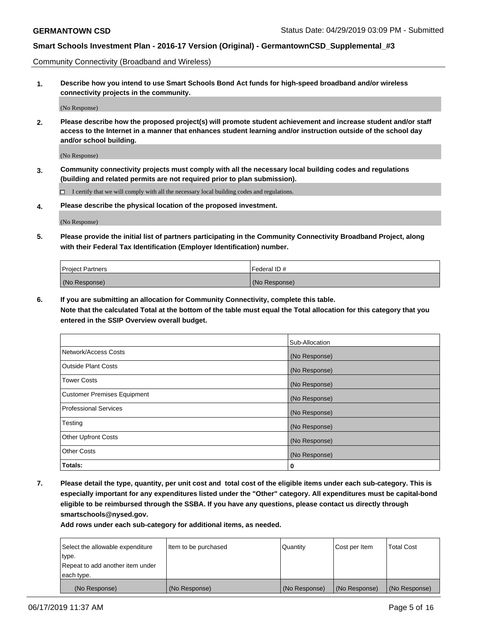Community Connectivity (Broadband and Wireless)

**1. Describe how you intend to use Smart Schools Bond Act funds for high-speed broadband and/or wireless connectivity projects in the community.**

(No Response)

**2. Please describe how the proposed project(s) will promote student achievement and increase student and/or staff access to the Internet in a manner that enhances student learning and/or instruction outside of the school day and/or school building.**

(No Response)

**3. Community connectivity projects must comply with all the necessary local building codes and regulations (building and related permits are not required prior to plan submission).**

 $\Box$  I certify that we will comply with all the necessary local building codes and regulations.

**4. Please describe the physical location of the proposed investment.**

(No Response)

**5. Please provide the initial list of partners participating in the Community Connectivity Broadband Project, along with their Federal Tax Identification (Employer Identification) number.**

| <b>Project Partners</b> | Federal ID#   |
|-------------------------|---------------|
| (No Response)           | (No Response) |

**6. If you are submitting an allocation for Community Connectivity, complete this table.**

**Note that the calculated Total at the bottom of the table must equal the Total allocation for this category that you entered in the SSIP Overview overall budget.**

|                              | Sub-Allocation |
|------------------------------|----------------|
| Network/Access Costs         | (No Response)  |
| Outside Plant Costs          | (No Response)  |
| <b>Tower Costs</b>           | (No Response)  |
| Customer Premises Equipment  | (No Response)  |
| <b>Professional Services</b> | (No Response)  |
| Testing                      | (No Response)  |
| <b>Other Upfront Costs</b>   | (No Response)  |
| <b>Other Costs</b>           | (No Response)  |
| Totals:                      | 0              |

**7. Please detail the type, quantity, per unit cost and total cost of the eligible items under each sub-category. This is especially important for any expenditures listed under the "Other" category. All expenditures must be capital-bond eligible to be reimbursed through the SSBA. If you have any questions, please contact us directly through smartschools@nysed.gov.**

| Select the allowable expenditure<br>type. | Item to be purchased | Quantity      | Cost per Item | <b>Total Cost</b> |
|-------------------------------------------|----------------------|---------------|---------------|-------------------|
| Repeat to add another item under          |                      |               |               |                   |
| each type.                                |                      |               |               |                   |
| (No Response)                             | (No Response)        | (No Response) | (No Response) | (No Response)     |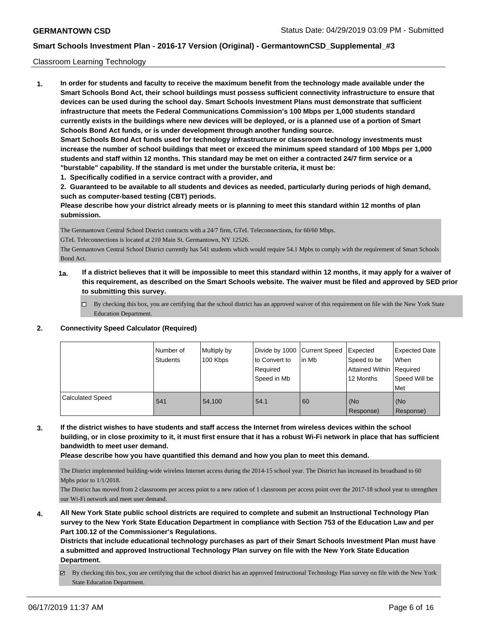### Classroom Learning Technology

**1. In order for students and faculty to receive the maximum benefit from the technology made available under the Smart Schools Bond Act, their school buildings must possess sufficient connectivity infrastructure to ensure that devices can be used during the school day. Smart Schools Investment Plans must demonstrate that sufficient infrastructure that meets the Federal Communications Commission's 100 Mbps per 1,000 students standard currently exists in the buildings where new devices will be deployed, or is a planned use of a portion of Smart Schools Bond Act funds, or is under development through another funding source. Smart Schools Bond Act funds used for technology infrastructure or classroom technology investments must increase the number of school buildings that meet or exceed the minimum speed standard of 100 Mbps per 1,000 students and staff within 12 months. This standard may be met on either a contracted 24/7 firm service or a "burstable" capability. If the standard is met under the burstable criteria, it must be:**

**1. Specifically codified in a service contract with a provider, and**

**2. Guaranteed to be available to all students and devices as needed, particularly during periods of high demand, such as computer-based testing (CBT) periods.**

**Please describe how your district already meets or is planning to meet this standard within 12 months of plan submission.**

The Germantown Central School District contracts with a 24/7 firm, GTeL Teleconnections, for 60/60 Mbps.

GTeL Teleconnections is located at 210 Main St. Germantown, NY 12526.

The Germantown Central School District currently has 541 students which would require 54.1 Mpbs to comply with the requirement of Smart Schools Bond Act.

- **1a. If a district believes that it will be impossible to meet this standard within 12 months, it may apply for a waiver of this requirement, as described on the Smart Schools website. The waiver must be filed and approved by SED prior to submitting this survey.**
	- By checking this box, you are certifying that the school district has an approved waiver of this requirement on file with the New York State Education Department.

| <b>Connectivity Speed Calculator (Required)</b> |
|-------------------------------------------------|
|                                                 |

|                         | I Number of<br>Students | Multiply by<br>100 Kbps | Divide by 1000 Current Speed<br>to Convert to<br>Required<br>Speed in Mb | lin Mb | Expected<br>Speed to be<br>Attained Within   Required<br>12 Months | <b>Expected Date</b><br><b>When</b><br>Speed Will be<br><b>Met</b> |
|-------------------------|-------------------------|-------------------------|--------------------------------------------------------------------------|--------|--------------------------------------------------------------------|--------------------------------------------------------------------|
| <b>Calculated Speed</b> | 541                     | 54.100                  | 54.1                                                                     | 60     | (No<br>Response)                                                   | (No<br>Response)                                                   |

**3. If the district wishes to have students and staff access the Internet from wireless devices within the school building, or in close proximity to it, it must first ensure that it has a robust Wi-Fi network in place that has sufficient bandwidth to meet user demand.**

**Please describe how you have quantified this demand and how you plan to meet this demand.**

The District implemented building-wide wireless Internet access during the 2014-15 school year. The District has increased its broadband to 60 Mpbs prior to 1/1/2018.

The District has moved from 2 classrooms per access point to a new ration of 1 classroom per access point over the 2017-18 school year to strengthen our Wi-Fi network and meet user demand.

**4. All New York State public school districts are required to complete and submit an Instructional Technology Plan survey to the New York State Education Department in compliance with Section 753 of the Education Law and per Part 100.12 of the Commissioner's Regulations.**

**Districts that include educational technology purchases as part of their Smart Schools Investment Plan must have a submitted and approved Instructional Technology Plan survey on file with the New York State Education Department.**

By checking this box, you are certifying that the school district has an approved Instructional Technology Plan survey on file with the New York State Education Department.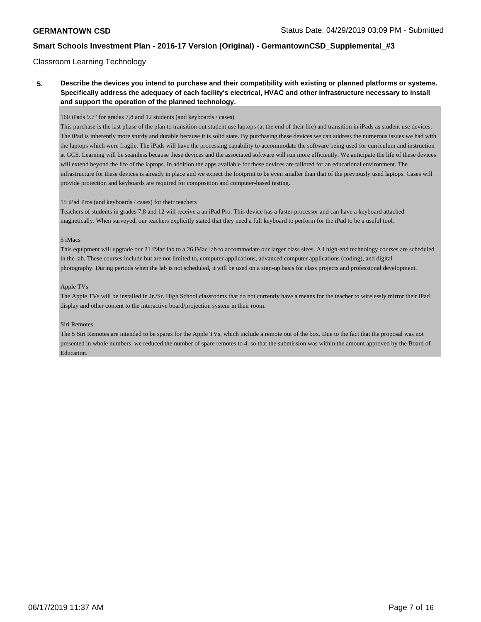### Classroom Learning Technology

## **5. Describe the devices you intend to purchase and their compatibility with existing or planned platforms or systems. Specifically address the adequacy of each facility's electrical, HVAC and other infrastructure necessary to install and support the operation of the planned technology.**

#### 160 iPads 9.7" for grades 7,8 and 12 students (and keyboards / cases)

This purchase is the last phase of the plan to transition out student use laptops (at the end of their life) and transition in iPads as student use devices. The iPad is inherently more sturdy and durable because it is solid state. By purchasing these devices we can address the numerous issues we had with the laptops which were fragile. The iPads will have the processing capability to accommodate the software being used for curriculum and instruction at GCS. Learning will be seamless because these devices and the associated software will run more efficiently. We anticipate the life of these devices will extend beyond the life of the laptops. In addition the apps available for these devices are tailored for an educational environment. The infrastructure for these devices is already in place and we expect the footprint to be even smaller than that of the previously used laptops. Cases will provide protection and keyboards are required for composition and computer-based testing.

#### 15 iPad Pros (and keyboards / cases) for their teachers

Teachers of students in grades 7,8 and 12 will receive a an iPad Pro. This device has a faster processor and can have a keyboard attached magnetically. When surveyed, our teachers explicitly stated that they need a full keyboard to perform for the iPad to be a useful tool.

### 5 iMacs

This equipment will upgrade our 21 iMac lab to a 26 iMac lab to accommodate our larger class sizes. All high-end technology courses are scheduled in the lab. These courses include but are not limited to, computer applications, advanced computer applications (coding), and digital photography. During periods when the lab is not scheduled, it will be used on a sign-up basis for class projects and professional development.

#### Apple TVs

The Apple TVs will be installed in Jr./Sr. High School classrooms that do not currently have a means for the teacher to wirelessly mirror their iPad display and other content to the interactive board/projection system in their room.

#### Siri Remotes

The 5 Siri Remotes are intended to be spares for the Apple TVs, which include a remote out of the box. Due to the fact that the proposal was not presented in whole numbers, we reduced the number of spare remotes to 4, so that the submission was within the amount approved by the Board of **Education**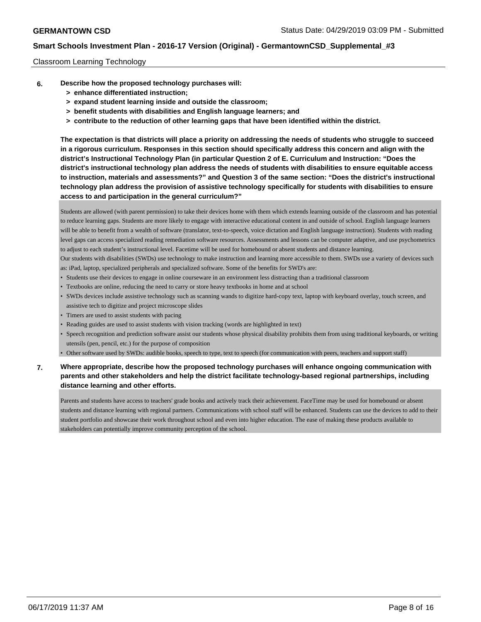### Classroom Learning Technology

- **6. Describe how the proposed technology purchases will:**
	- **> enhance differentiated instruction;**
	- **> expand student learning inside and outside the classroom;**
	- **> benefit students with disabilities and English language learners; and**
	- **> contribute to the reduction of other learning gaps that have been identified within the district.**

**The expectation is that districts will place a priority on addressing the needs of students who struggle to succeed in a rigorous curriculum. Responses in this section should specifically address this concern and align with the district's Instructional Technology Plan (in particular Question 2 of E. Curriculum and Instruction: "Does the district's instructional technology plan address the needs of students with disabilities to ensure equitable access to instruction, materials and assessments?" and Question 3 of the same section: "Does the district's instructional technology plan address the provision of assistive technology specifically for students with disabilities to ensure access to and participation in the general curriculum?"**

Students are allowed (with parent permission) to take their devices home with them which extends learning outside of the classroom and has potential to reduce learning gaps. Students are more likely to engage with interactive educational content in and outside of school. English language learners will be able to benefit from a wealth of software (translator, text-to-speech, voice dictation and English language instruction). Students with reading level gaps can access specialized reading remediation software resources. Assessments and lessons can be computer adaptive, and use psychometrics to adjust to each student's instructional level. Facetime will be used for homebound or absent students and distance learning. Our students with disabilities (SWDs) use technology to make instruction and learning more accessible to them. SWDs use a variety of devices such as: iPad, laptop, specialized peripherals and specialized software. Some of the benefits for SWD's are:

- Students use their devices to engage in online courseware in an environment less distracting than a traditional classroom
- Textbooks are online, reducing the need to carry or store heavy textbooks in home and at school
- SWDs devices include assistive technology such as scanning wands to digitize hard-copy text, laptop with keyboard overlay, touch screen, and assistive tech to digitize and project microscope slides
- Timers are used to assist students with pacing
- Reading guides are used to assist students with vision tracking (words are highlighted in text)
- Speech recognition and prediction software assist our students whose physical disability prohibits them from using traditional keyboards, or writing utensils (pen, pencil, etc.) for the purpose of composition
- Other software used by SWDs: audible books, speech to type, text to speech (for communication with peers, teachers and support staff)

## **7. Where appropriate, describe how the proposed technology purchases will enhance ongoing communication with parents and other stakeholders and help the district facilitate technology-based regional partnerships, including distance learning and other efforts.**

Parents and students have access to teachers' grade books and actively track their achievement. FaceTime may be used for homebound or absent students and distance learning with regional partners. Communications with school staff will be enhanced. Students can use the devices to add to their student portfolio and showcase their work throughout school and even into higher education. The ease of making these products available to stakeholders can potentially improve community perception of the school.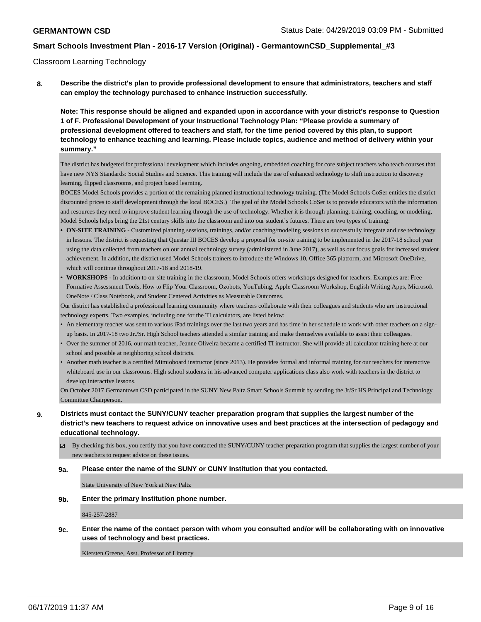### Classroom Learning Technology

**8. Describe the district's plan to provide professional development to ensure that administrators, teachers and staff can employ the technology purchased to enhance instruction successfully.**

**Note: This response should be aligned and expanded upon in accordance with your district's response to Question 1 of F. Professional Development of your Instructional Technology Plan: "Please provide a summary of professional development offered to teachers and staff, for the time period covered by this plan, to support technology to enhance teaching and learning. Please include topics, audience and method of delivery within your summary."**

The district has budgeted for professional development which includes ongoing, embedded coaching for core subject teachers who teach courses that have new NYS Standards: Social Studies and Science. This training will include the use of enhanced technology to shift instruction to discovery learning, flipped classrooms, and project based learning.

BOCES Model Schools provides a portion of the remaining planned instructional technology training. (The Model Schools CoSer entitles the district discounted prices to staff development through the local BOCES.) The goal of the Model Schools CoSer is to provide educators with the information and resources they need to improve student learning through the use of technology. Whether it is through planning, training, coaching, or modeling, Model Schools helps bring the 21st century skills into the classroom and into our student's futures. There are two types of training:

- **ON-SITE TRAINING -** Customized planning sessions, trainings, and/or coaching/modeling sessions to successfully integrate and use technology in lessons. The district is requesting that Questar III BOCES develop a proposal for on-site training to be implemented in the 2017-18 school year using the data collected from teachers on our annual technology survey (administered in June 2017), as well as our focus goals for increased student achievement. In addition, the district used Model Schools trainers to introduce the Windows 10, Office 365 platform, and Microsoft OneDrive, which will continue throughout 2017-18 and 2018-19.
- **• WORKSHOPS** In addition to on-site training in the classroom, Model Schools offers workshops designed for teachers. Examples are: Free Formative Assessment Tools, How to Flip Your Classroom, Ozobots, YouTubing, Apple Classroom Workshop, English Writing Apps, Microsoft OneNote / Class Notebook, and Student Centered Activities as Measurable Outcomes.

Our district has established a professional learning community where teachers collaborate with their colleagues and students who are instructional technology experts. Two examples, including one for the TI calculators, are listed below:

- An elementary teacher was sent to various iPad trainings over the last two years and has time in her schedule to work with other teachers on a signup basis. In 2017-18 two Jr./Sr. High School teachers attended a similar training and make themselves available to assist their colleagues.
- Over the summer of 2016, our math teacher, Jeanne Oliveira became a certified TI instructor. She will provide all calculator training here at our school and possible at neighboring school districts.
- Another math teacher is a certified Mimioboard instructor (since 2013). He provides formal and informal training for our teachers for interactive whiteboard use in our classrooms. High school students in his advanced computer applications class also work with teachers in the district to develop interactive lessons.

On October 2017 Germantown CSD participated in the SUNY New Paltz Smart Schools Summit by sending the Jr/Sr HS Principal and Technology Committee Chairperson.

- **9. Districts must contact the SUNY/CUNY teacher preparation program that supplies the largest number of the district's new teachers to request advice on innovative uses and best practices at the intersection of pedagogy and educational technology.**
	- By checking this box, you certify that you have contacted the SUNY/CUNY teacher preparation program that supplies the largest number of your new teachers to request advice on these issues.

#### **9a. Please enter the name of the SUNY or CUNY Institution that you contacted.**

State University of New York at New Paltz

#### **9b. Enter the primary Institution phone number.**

845-257-2887

**9c. Enter the name of the contact person with whom you consulted and/or will be collaborating with on innovative uses of technology and best practices.**

Kiersten Greene, Asst. Professor of Literacy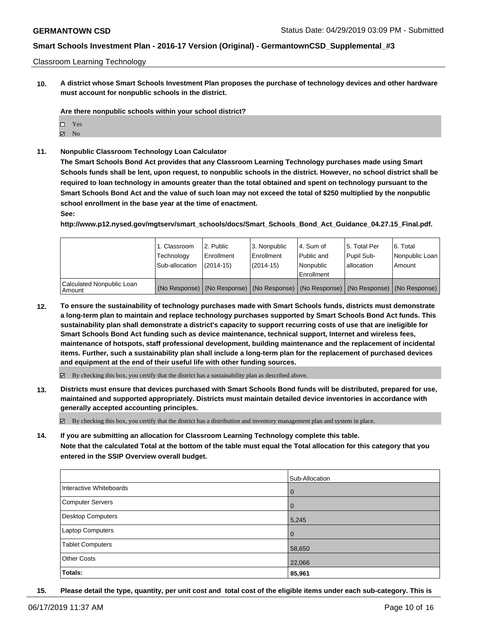### Classroom Learning Technology

**10. A district whose Smart Schools Investment Plan proposes the purchase of technology devices and other hardware must account for nonpublic schools in the district.**

**Are there nonpublic schools within your school district?**

- □ Yes
- $\boxtimes$  No
- **11. Nonpublic Classroom Technology Loan Calculator**

**The Smart Schools Bond Act provides that any Classroom Learning Technology purchases made using Smart Schools funds shall be lent, upon request, to nonpublic schools in the district. However, no school district shall be required to loan technology in amounts greater than the total obtained and spent on technology pursuant to the Smart Schools Bond Act and the value of such loan may not exceed the total of \$250 multiplied by the nonpublic school enrollment in the base year at the time of enactment.**

**See:**

**http://www.p12.nysed.gov/mgtserv/smart\_schools/docs/Smart\_Schools\_Bond\_Act\_Guidance\_04.27.15\_Final.pdf.**

|                                     | 1. Classroom<br>Technology<br>Sub-allocation | l 2. Public<br>l Enrollment<br>$(2014 - 15)$ | 3. Nonpublic<br>Enrollment<br>$(2014-15)$ | l 4. Sum of<br>Public and<br>Nonpublic<br>Enrollment | 15. Total Per<br>Pupil Sub-<br>lallocation | 6. Total<br>Nonpublic Loan<br>Amount                                                          |
|-------------------------------------|----------------------------------------------|----------------------------------------------|-------------------------------------------|------------------------------------------------------|--------------------------------------------|-----------------------------------------------------------------------------------------------|
| Calculated Nonpublic Loan<br>Amount |                                              |                                              |                                           |                                                      |                                            | (No Response)   (No Response)   (No Response)   (No Response)   (No Response)   (No Response) |

**12. To ensure the sustainability of technology purchases made with Smart Schools funds, districts must demonstrate a long-term plan to maintain and replace technology purchases supported by Smart Schools Bond Act funds. This sustainability plan shall demonstrate a district's capacity to support recurring costs of use that are ineligible for Smart Schools Bond Act funding such as device maintenance, technical support, Internet and wireless fees, maintenance of hotspots, staff professional development, building maintenance and the replacement of incidental items. Further, such a sustainability plan shall include a long-term plan for the replacement of purchased devices and equipment at the end of their useful life with other funding sources.**

By checking this box, you certify that the district has a sustainability plan as described above.

**13. Districts must ensure that devices purchased with Smart Schools Bond funds will be distributed, prepared for use, maintained and supported appropriately. Districts must maintain detailed device inventories in accordance with generally accepted accounting principles.**

 $\boxtimes$  By checking this box, you certify that the district has a distribution and inventory management plan and system in place.

**14. If you are submitting an allocation for Classroom Learning Technology complete this table. Note that the calculated Total at the bottom of the table must equal the Total allocation for this category that you entered in the SSIP Overview overall budget.**

|                          | Sub-Allocation |
|--------------------------|----------------|
| Interactive Whiteboards  | $\mathbf 0$    |
| <b>Computer Servers</b>  | $\mathbf 0$    |
| <b>Desktop Computers</b> | 5,245          |
| Laptop Computers         | $\mathbf 0$    |
| <b>Tablet Computers</b>  | 58,650         |
| <b>Other Costs</b>       | 22,066         |
| Totals:                  | 85,961         |

**15. Please detail the type, quantity, per unit cost and total cost of the eligible items under each sub-category. This is**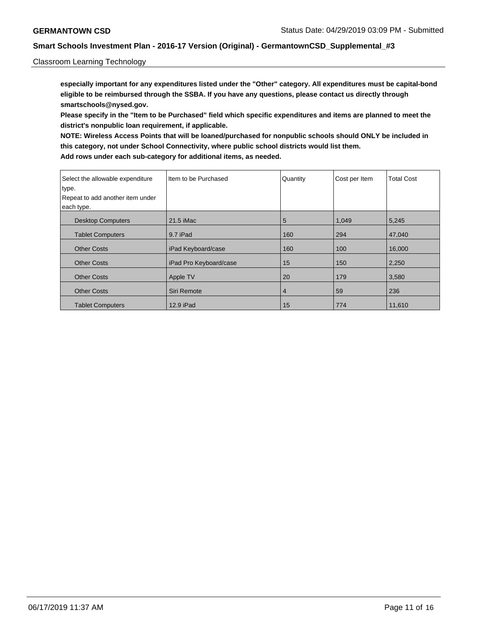### Classroom Learning Technology

**especially important for any expenditures listed under the "Other" category. All expenditures must be capital-bond eligible to be reimbursed through the SSBA. If you have any questions, please contact us directly through smartschools@nysed.gov.**

**Please specify in the "Item to be Purchased" field which specific expenditures and items are planned to meet the district's nonpublic loan requirement, if applicable.**

**NOTE: Wireless Access Points that will be loaned/purchased for nonpublic schools should ONLY be included in this category, not under School Connectivity, where public school districts would list them. Add rows under each sub-category for additional items, as needed.**

| Select the allowable expenditure<br>type. | Item to be Purchased   | Quantity       | Cost per Item | <b>Total Cost</b> |
|-------------------------------------------|------------------------|----------------|---------------|-------------------|
| Repeat to add another item under          |                        |                |               |                   |
| each type.                                |                        |                |               |                   |
| <b>Desktop Computers</b>                  | 21.5 iMac              | 5              | 1,049         | 5,245             |
| <b>Tablet Computers</b>                   | 9.7 iPad               | 160            | 294           | 47,040            |
| <b>Other Costs</b>                        | iPad Keyboard/case     | 160            | 100           | 16,000            |
| <b>Other Costs</b>                        | iPad Pro Keyboard/case | 15             | 150           | 2,250             |
| <b>Other Costs</b>                        | Apple TV               | 20             | 179           | 3,580             |
| <b>Other Costs</b>                        | Siri Remote            | $\overline{4}$ | 59            | 236               |
| <b>Tablet Computers</b>                   | 12.9 iPad              | 15             | 774           | 11,610            |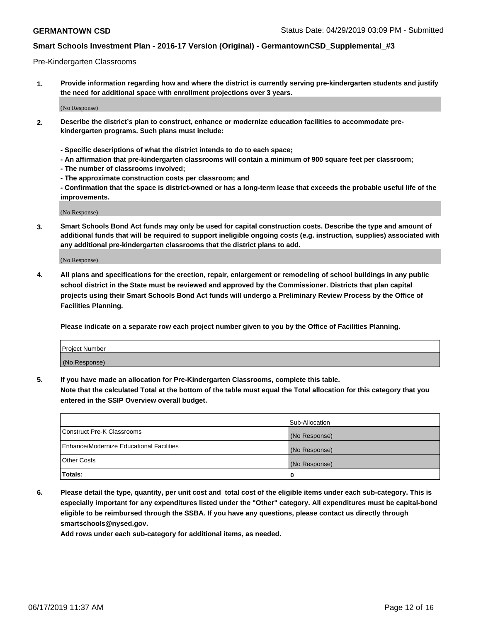#### Pre-Kindergarten Classrooms

**1. Provide information regarding how and where the district is currently serving pre-kindergarten students and justify the need for additional space with enrollment projections over 3 years.**

(No Response)

- **2. Describe the district's plan to construct, enhance or modernize education facilities to accommodate prekindergarten programs. Such plans must include:**
	- **Specific descriptions of what the district intends to do to each space;**
	- **An affirmation that pre-kindergarten classrooms will contain a minimum of 900 square feet per classroom;**
	- **The number of classrooms involved;**
	- **The approximate construction costs per classroom; and**
	- **Confirmation that the space is district-owned or has a long-term lease that exceeds the probable useful life of the improvements.**

(No Response)

**3. Smart Schools Bond Act funds may only be used for capital construction costs. Describe the type and amount of additional funds that will be required to support ineligible ongoing costs (e.g. instruction, supplies) associated with any additional pre-kindergarten classrooms that the district plans to add.**

(No Response)

**4. All plans and specifications for the erection, repair, enlargement or remodeling of school buildings in any public school district in the State must be reviewed and approved by the Commissioner. Districts that plan capital projects using their Smart Schools Bond Act funds will undergo a Preliminary Review Process by the Office of Facilities Planning.**

**Please indicate on a separate row each project number given to you by the Office of Facilities Planning.**

| Project Number |  |
|----------------|--|
| (No Response)  |  |
|                |  |

**5. If you have made an allocation for Pre-Kindergarten Classrooms, complete this table.**

**Note that the calculated Total at the bottom of the table must equal the Total allocation for this category that you entered in the SSIP Overview overall budget.**

|                                          | Sub-Allocation |
|------------------------------------------|----------------|
| Construct Pre-K Classrooms               | (No Response)  |
| Enhance/Modernize Educational Facilities | (No Response)  |
| <b>Other Costs</b>                       | (No Response)  |
| Totals:                                  | 0              |

**6. Please detail the type, quantity, per unit cost and total cost of the eligible items under each sub-category. This is especially important for any expenditures listed under the "Other" category. All expenditures must be capital-bond eligible to be reimbursed through the SSBA. If you have any questions, please contact us directly through smartschools@nysed.gov.**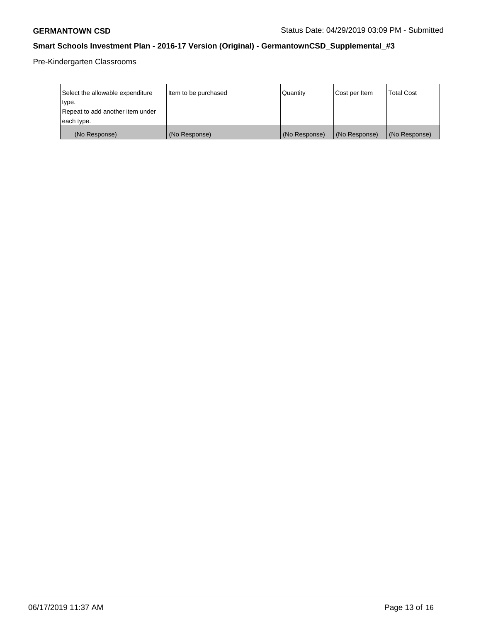Pre-Kindergarten Classrooms

| Select the allowable expenditure | Item to be purchased | Quantity      | Cost per Item | <b>Total Cost</b> |
|----------------------------------|----------------------|---------------|---------------|-------------------|
| type.                            |                      |               |               |                   |
| Repeat to add another item under |                      |               |               |                   |
| each type.                       |                      |               |               |                   |
| (No Response)                    | (No Response)        | (No Response) | (No Response) | (No Response)     |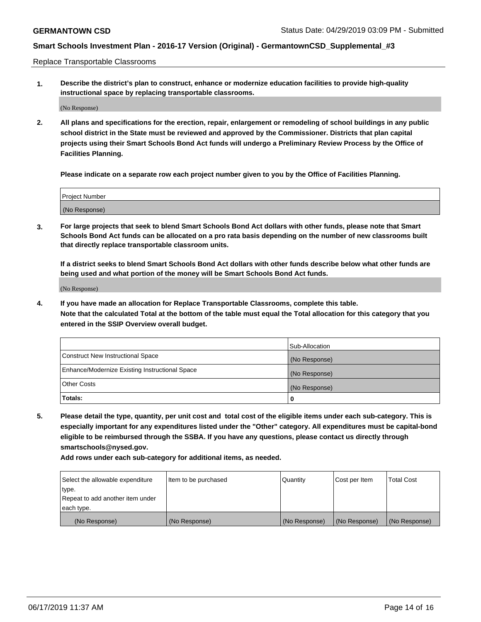Replace Transportable Classrooms

**1. Describe the district's plan to construct, enhance or modernize education facilities to provide high-quality instructional space by replacing transportable classrooms.**

(No Response)

**2. All plans and specifications for the erection, repair, enlargement or remodeling of school buildings in any public school district in the State must be reviewed and approved by the Commissioner. Districts that plan capital projects using their Smart Schools Bond Act funds will undergo a Preliminary Review Process by the Office of Facilities Planning.**

**Please indicate on a separate row each project number given to you by the Office of Facilities Planning.**

| Project Number |  |
|----------------|--|
|                |  |
| (No Response)  |  |

**3. For large projects that seek to blend Smart Schools Bond Act dollars with other funds, please note that Smart Schools Bond Act funds can be allocated on a pro rata basis depending on the number of new classrooms built that directly replace transportable classroom units.**

**If a district seeks to blend Smart Schools Bond Act dollars with other funds describe below what other funds are being used and what portion of the money will be Smart Schools Bond Act funds.**

(No Response)

**4. If you have made an allocation for Replace Transportable Classrooms, complete this table. Note that the calculated Total at the bottom of the table must equal the Total allocation for this category that you entered in the SSIP Overview overall budget.**

|                                                | Sub-Allocation |
|------------------------------------------------|----------------|
| Construct New Instructional Space              | (No Response)  |
| Enhance/Modernize Existing Instructional Space | (No Response)  |
| <b>Other Costs</b>                             | (No Response)  |
| Totals:                                        | 0              |

**5. Please detail the type, quantity, per unit cost and total cost of the eligible items under each sub-category. This is especially important for any expenditures listed under the "Other" category. All expenditures must be capital-bond eligible to be reimbursed through the SSBA. If you have any questions, please contact us directly through smartschools@nysed.gov.**

| Select the allowable expenditure | Item to be purchased | l Quantitv    | Cost per Item | <b>Total Cost</b> |
|----------------------------------|----------------------|---------------|---------------|-------------------|
| type.                            |                      |               |               |                   |
| Repeat to add another item under |                      |               |               |                   |
| each type.                       |                      |               |               |                   |
| (No Response)                    | (No Response)        | (No Response) | (No Response) | (No Response)     |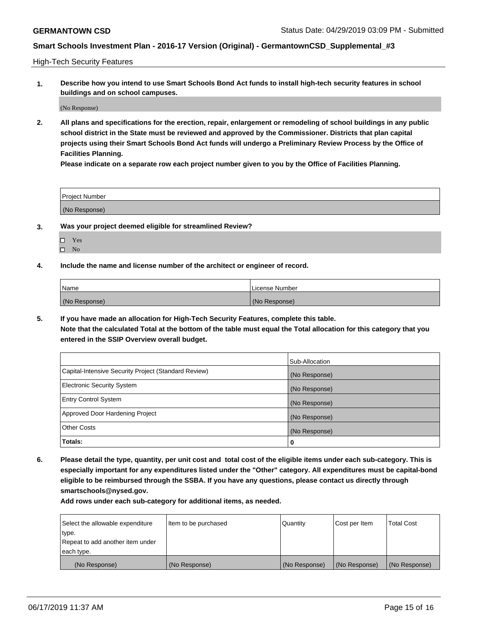High-Tech Security Features

**1. Describe how you intend to use Smart Schools Bond Act funds to install high-tech security features in school buildings and on school campuses.**

(No Response)

**2. All plans and specifications for the erection, repair, enlargement or remodeling of school buildings in any public school district in the State must be reviewed and approved by the Commissioner. Districts that plan capital projects using their Smart Schools Bond Act funds will undergo a Preliminary Review Process by the Office of Facilities Planning.** 

**Please indicate on a separate row each project number given to you by the Office of Facilities Planning.**

| <b>Project Number</b> |  |
|-----------------------|--|
| (No Response)         |  |

- **3. Was your project deemed eligible for streamlined Review?**
	- Yes
	- $\square$  No
- **4. Include the name and license number of the architect or engineer of record.**

| <b>Name</b>   | License Number |
|---------------|----------------|
| (No Response) | (No Response)  |

**5. If you have made an allocation for High-Tech Security Features, complete this table.**

**Note that the calculated Total at the bottom of the table must equal the Total allocation for this category that you entered in the SSIP Overview overall budget.**

|                                                      | Sub-Allocation |
|------------------------------------------------------|----------------|
| Capital-Intensive Security Project (Standard Review) | (No Response)  |
| <b>Electronic Security System</b>                    | (No Response)  |
| <b>Entry Control System</b>                          | (No Response)  |
| Approved Door Hardening Project                      | (No Response)  |
| <b>Other Costs</b>                                   | (No Response)  |
| Totals:                                              | 0              |

**6. Please detail the type, quantity, per unit cost and total cost of the eligible items under each sub-category. This is especially important for any expenditures listed under the "Other" category. All expenditures must be capital-bond eligible to be reimbursed through the SSBA. If you have any questions, please contact us directly through smartschools@nysed.gov.**

| Select the allowable expenditure | Item to be purchased | l Quantitv    | Cost per Item | <b>Total Cost</b> |
|----------------------------------|----------------------|---------------|---------------|-------------------|
| type.                            |                      |               |               |                   |
| Repeat to add another item under |                      |               |               |                   |
| each type.                       |                      |               |               |                   |
| (No Response)                    | (No Response)        | (No Response) | (No Response) | (No Response)     |